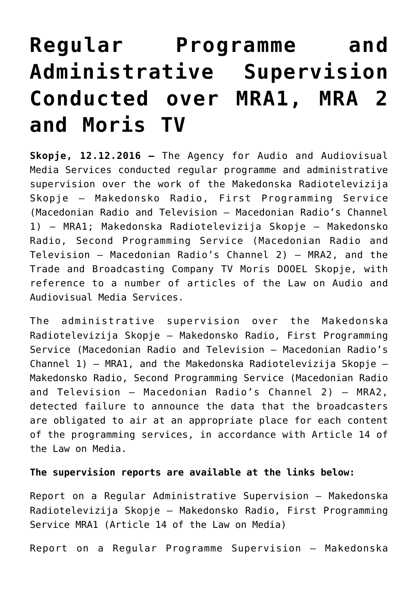## **[Regular Programme and](https://avmu.mk/en/2016/12/12/admin-nadzor-mra1-mra2-tv-moris-3/) [Administrative Supervision](https://avmu.mk/en/2016/12/12/admin-nadzor-mra1-mra2-tv-moris-3/) [Conducted over MRA1, MRA 2](https://avmu.mk/en/2016/12/12/admin-nadzor-mra1-mra2-tv-moris-3/) [and Moris TV](https://avmu.mk/en/2016/12/12/admin-nadzor-mra1-mra2-tv-moris-3/)**

**Skopje, 12.12.2016 –** The Agency for Audio and Audiovisual Media Services conducted regular programme and administrative supervision over the work of the Makedonska Radiotelevizija Skopje – Makedonsko Radio, First Programming Service (Macedonian Radio and Television – Macedonian Radio's Channel 1) – MRA1; Makedonska Radiotelevizija Skopje – Makedonsko Radio, Second Programming Service (Macedonian Radio and Television – Macedonian Radio's Channel 2) – MRA2, and the Trade and Broadcasting Company TV Moris DOOEL Skopje, with reference to a number of articles of the Law on Audio and Audiovisual Media Services.

The administrative supervision over the Makedonska Radiotelevizija Skopje – Makedonsko Radio, First Programming Service (Macedonian Radio and Television – Macedonian Radio's Channel 1) – MRA1, and the Makedonska Radiotelevizija Skopje – Makedonsko Radio, Second Programming Service (Macedonian Radio and Television – Macedonian Radio's Channel 2) – MRA2, detected failure to announce the data that the broadcasters are obligated to air at an appropriate place for each content of the programming services, in accordance with Article 14 of the Law on Media.

## **The supervision reports are available at the links below:**

[Report on a Regular Administrative Supervision – Makedonska](http://avmu.mk/wp-content/uploads/2017/05/MRA_1_redoven_administrativen_clen_14_od_Zakon_za_mediumi_.pdf) [Radiotelevizija Skopje – Makedonsko Radio, First Programming](http://avmu.mk/wp-content/uploads/2017/05/MRA_1_redoven_administrativen_clen_14_od_Zakon_za_mediumi_.pdf) [Service MRA1 \(Article 14 of the Law on Media\)](http://avmu.mk/wp-content/uploads/2017/05/MRA_1_redoven_administrativen_clen_14_od_Zakon_za_mediumi_.pdf) 

[Report on a Regular Programme Supervision – Makedonska](http://avmu.mk/wp-content/uploads/2017/05/MRA_1_redoven_programski_nema_prekrsuvanja.pdf)